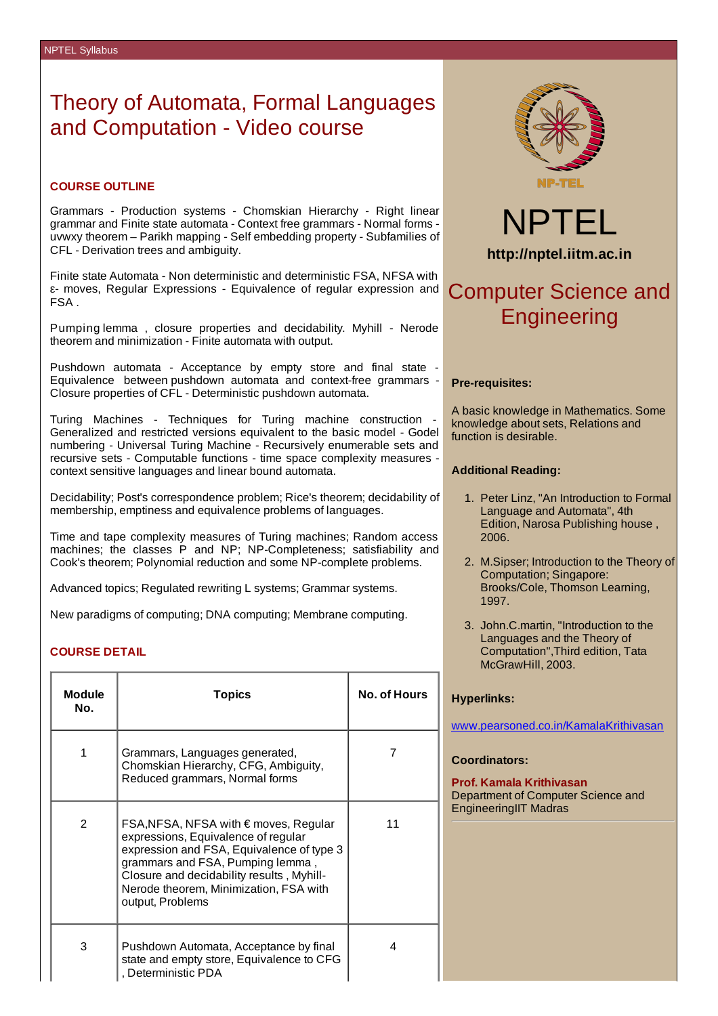## Theory of Automata, Formal Languages and Computation - Video course

## **COURSE OUTLINE**

Grammars - Production systems - Chomskian Hierarchy - Right linear grammar and Finite state automata - Context free grammars - Normal forms uvwxy theorem – Parikh mapping - Self embedding property - Subfamilies of CFL - Derivation trees and ambiguity.

Finite state Automata - Non deterministic and deterministic FSA, NFSA with ε- moves, Regular Expressions - Equivalence of regular expression and FSA .

Pumping lemma , closure properties and decidability. Myhill - Nerode theorem and minimization - Finite automata with output.

Pushdown automata - Acceptance by empty store and final state - Equivalence between pushdown automata and context-free grammars - Closure properties of CFL - Deterministic pushdown automata.

Turing Machines - Techniques for Turing machine construction - Generalized and restricted versions equivalent to the basic model - Godel numbering - Universal Turing Machine - Recursively enumerable sets and recursive sets - Computable functions - time space complexity measures context sensitive languages and linear bound automata.

Decidability; Post's correspondence problem; Rice's theorem; decidability of membership, emptiness and equivalence problems of languages.

Time and tape complexity measures of Turing machines; Random access machines; the classes P and NP; NP-Completeness; satisfiability and Cook's theorem; Polynomial reduction and some NP-complete problems.

Advanced topics; Regulated rewriting L systems; Grammar systems.

New paradigms of computing; DNA computing; Membrane computing.

## **COURSE DETAIL**

| <b>Module</b><br>No. | <b>Topics</b>                                                                                                                                                                                                                                                            | No. of Hours |
|----------------------|--------------------------------------------------------------------------------------------------------------------------------------------------------------------------------------------------------------------------------------------------------------------------|--------------|
| $\mathbf{1}$         | Grammars, Languages generated,<br>Chomskian Hierarchy, CFG, Ambiguity,<br>Reduced grammars, Normal forms                                                                                                                                                                 |              |
| 2                    | FSA, NFSA, NFSA with € moves, Regular<br>expressions, Equivalence of regular<br>expression and FSA, Equivalence of type 3<br>grammars and FSA, Pumping lemma,<br>Closure and decidability results, Myhill-<br>Nerode theorem, Minimization, FSA with<br>output, Problems | 11           |
| 3                    | Pushdown Automata, Acceptance by final<br>state and empty store, Equivalence to CFG<br>Deterministic PDA                                                                                                                                                                 | 4            |



NPTEL **http://nptel.iitm.ac.in**

# Computer Science and **Engineering**

#### **Pre-requisites:**

A basic knowledge in Mathematics. Some knowledge about sets, Relations and function is desirable.

#### **Additional Reading:**

- 1. Peter Linz, "An Introduction to Formal Language and Automata", 4th Edition, Narosa Publishing house , 2006.
- 2. M.Sipser; Introduction to the Theory of Computation; Singapore: Brooks/Cole, Thomson Learning, 1997.
- 3. John.C.martin, "Introduction to the Languages and the Theory of Computation",Third edition, Tata McGrawHill, 2003.

#### **Hyperlinks:**

www.pearsoned.co.in/KamalaKrithivasan

#### **Coordinators:**

**Prof. Kamala Krithivasan** Department of Computer Science and EngineeringIIT Madras